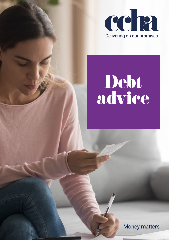

# Debt advice

Money matters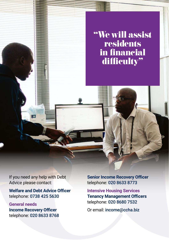"We will assist residents in financial difficulty"

If you need any help with Debt Advice please contact:

 $\overline{\bullet}$ 

**Welfare and Debt Advice Officer** telephone: 0738 425 5630

**General needs Income Recovery Officer** telephone: 020 8633 8768 **Senior Income Recovery Officer** telephone: 020 8633 8773

**Intensive Housing Services Tenancy Management Officers** telephone: 020 8680 7532

Or email: [income@ccha.biz](mailto:income%40ccha.biz?subject=)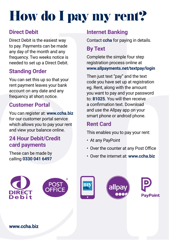# How do I pay my rent?

#### **Direct Debit**

Direct Debit is the easiest way to pay. Payments can be made any day of the month and any frequency. Two weeks notice is needed to set up a Direct Debit.

#### **Standing Order**

You can set this up so that your rent payment leaves your bank account on any date and any frequency at short notice.

#### **Customer Portal**

You can register at: **[www.ccha.biz](http://www.ccha.biz)** for our customer portal service which allows you to pay your rent and view your balance online.

#### **24 Hour Debit/Credit card payments**

These can be made by calling **0330 041 6497**

#### **Internet Banking**

Contact **ccha** for paying in details.

#### **By Text**

Complete the simple four step registration process online at **[www.allpayments.net/textpay/login](http://www.allpayments.net/textpay/login)**

Then just text "pay" and the text code you have set up at registration eg. Rent, along with the amount you want to pay and your password to: **81025**. You will then receive a confirmation text. Download and use the Allpay app on your smart phone or android phone.

#### **Rent Card**

This enables you to pay your rent:

- At any PayPoint
- Over the counter at any Post Office
- Over the internet at: **www.ccha.biz**







**[www.ccha.biz](http://www.ccha.biz)**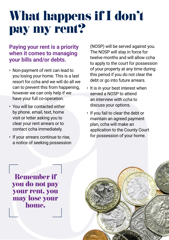### What happens if I don't pay my rent?

#### **Paying your rent is a priority when it comes to managing your bills and/or debts.**

- Non-payment of rent can lead to you losing your home. This is a last resort for ccha and we will do all we can to prevent this from happening, however we can only help if we have your full co-operation.
- You will be contacted either by phone, email, text, home visit or letter asking you to clear your rent arrears or to contact ccha immediately.
- If your arrears continue to rise, a notice of seeking possession

(NOSP) will be served against you. The NOSP will stay in force for twelve months and will allow ccha to apply to the court for possession of your property at any time during this period if you do not clear the debt or go into future arrears.

- It is in your best interest when served a NOSP to attend an interview with ccha to discuss your options.
- If you fail to clear the debt or maintain an agreed payment plan, ccha will make an application to the County Court for possession of your home.

Remember if you do not pay your rent, you may lose your home.

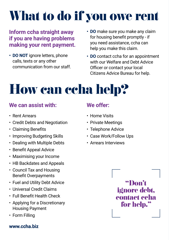## What to do if you owe rent

#### **Inform ccha straight away if you are having problems making your rent payment.**

- **• DO NOT** ignore letters, phone calls, texts or any other communication from our staff.
- **• DO** make sure you make any claim for housing benefit promptly - if you need assistance, ccha can help you make this claim.
- **• DO** contact ccha for an appointment with our Welfare and Debt Advice Officer or contact your local Citizens Advice Bureau for help.

## How can ccha help?

#### **We can assist with:**

- Rent Arrears
- Credit Debts and Negotiation
- Claiming Benefits
- Improving Budgeting Skills
- Dealing with Multiple Debts
- Benefit Appeal Advice
- Maximising your Income
- HB Backdates and Appeals
- Council Tax and Housing Benefit Overpayments
- Fuel and Utility Debt Advice
- Universal Credit Claims
- Full Benefit Health Check
- Applying for a Discretionary Housing Payment
- Form Filling

#### **[www.ccha.biz](http://www.ccha.biz)**

#### **We offer:**

- Home Visits
- Private Meetings
- Telephone Advice
- Case Work/Follow Ups
- Arrears Interviews